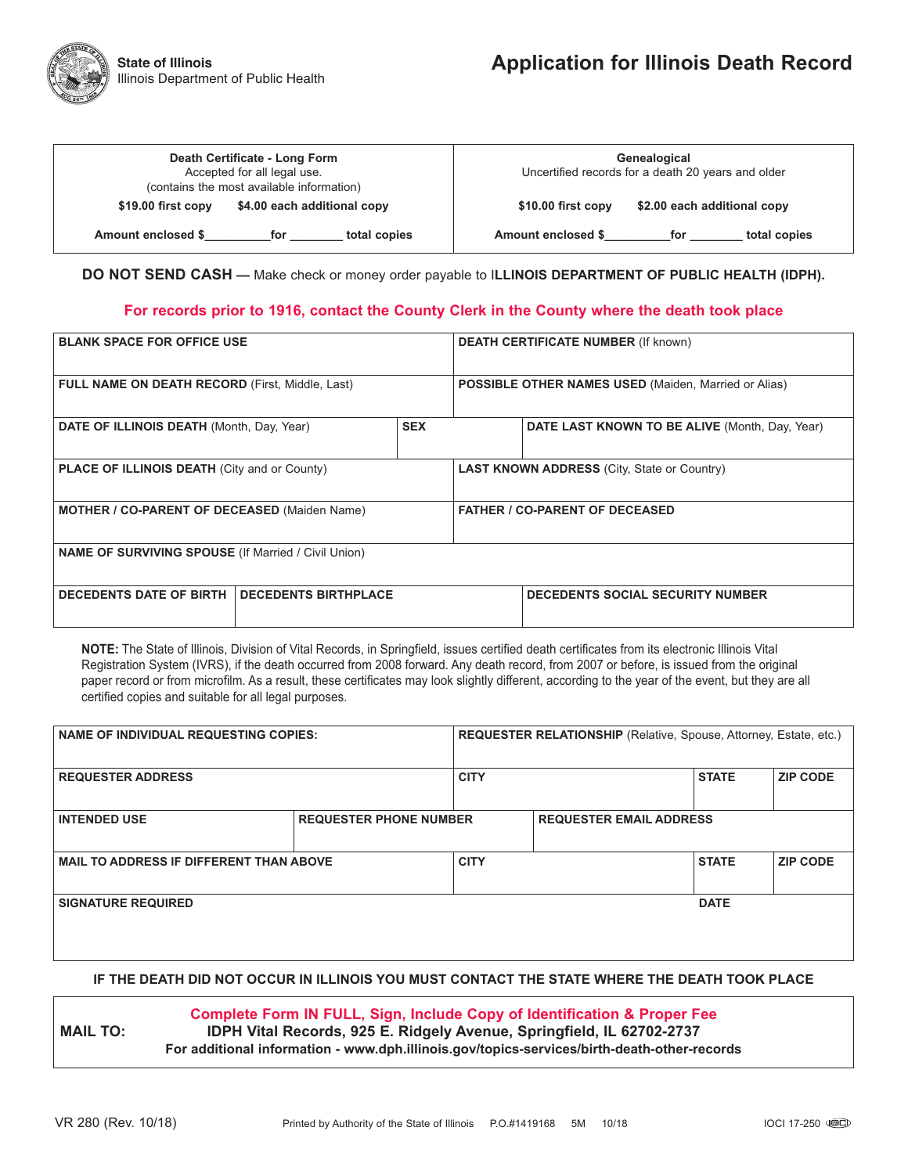| Death Certificate - Long Form<br>Accepted for all legal use.<br>(contains the most available information) | Genealogical<br>Uncertified records for a death 20 years and older |  |  |
|-----------------------------------------------------------------------------------------------------------|--------------------------------------------------------------------|--|--|
| \$4.00 each additional copy                                                                               | \$2.00 each additional copy                                        |  |  |
| \$19.00 first copy                                                                                        | \$10.00 first copy                                                 |  |  |
| Amount enclosed \$                                                                                        | Amount enclosed \$                                                 |  |  |
| total copies                                                                                              | total copies                                                       |  |  |
| for                                                                                                       | for                                                                |  |  |

**DO NOT SEND CASH —** Make check or money order payable to I**LLINOIS DEPARTMENT OF PUBLIC HEALTH (IDPH).**

#### **For records prior to 1916, contact the County Clerk in the County where the death took place**

| <b>BLANK SPACE FOR OFFICE USE</b>                             |            | <b>DEATH CERTIFICATE NUMBER (If known)</b>                  |                                                |  |  |
|---------------------------------------------------------------|------------|-------------------------------------------------------------|------------------------------------------------|--|--|
| <b>FULL NAME ON DEATH RECORD (First, Middle, Last)</b>        |            | <b>POSSIBLE OTHER NAMES USED</b> (Maiden, Married or Alias) |                                                |  |  |
| DATE OF ILLINOIS DEATH (Month, Day, Year)                     | <b>SEX</b> |                                                             | DATE LAST KNOWN TO BE ALIVE (Month, Day, Year) |  |  |
| <b>PLACE OF ILLINOIS DEATH (City and or County)</b>           |            | <b>LAST KNOWN ADDRESS (City, State or Country)</b>          |                                                |  |  |
| <b>MOTHER / CO-PARENT OF DECEASED (Maiden Name)</b>           |            | <b>FATHER / CO-PARENT OF DECEASED</b>                       |                                                |  |  |
| <b>NAME OF SURVIVING SPOUSE (If Married / Civil Union)</b>    |            |                                                             |                                                |  |  |
| <b>DECEDENTS DATE OF BIRTH</b><br><b>DECEDENTS BIRTHPLACE</b> |            | <b>DECEDENTS SOCIAL SECURITY NUMBER</b>                     |                                                |  |  |

**NOTE:** The State of Illinois, Division of Vital Records, in Springfield, issues certified death certificates from its electronic Illinois Vital Registration System (IVRS), if the death occurred from 2008 forward. Any death record, from 2007 or before, is issued from the original paper record or from microfilm. As a result, these certificates may look slightly different, according to the year of the event, but they are all certified copies and suitable for all legal purposes.

| <b>NAME OF INDIVIDUAL REQUESTING COPIES:</b>   |                               | <b>REQUESTER RELATIONSHIP</b> (Relative, Spouse, Attorney, Estate, etc.) |                                |              |                 |  |
|------------------------------------------------|-------------------------------|--------------------------------------------------------------------------|--------------------------------|--------------|-----------------|--|
| <b>REQUESTER ADDRESS</b>                       |                               | <b>CITY</b>                                                              |                                | <b>STATE</b> | <b>ZIP CODE</b> |  |
| <b>INTENDED USE</b>                            | <b>REQUESTER PHONE NUMBER</b> |                                                                          | <b>REQUESTER EMAIL ADDRESS</b> |              |                 |  |
| <b>MAIL TO ADDRESS IF DIFFERENT THAN ABOVE</b> |                               | <b>CITY</b>                                                              |                                | <b>STATE</b> | <b>ZIP CODE</b> |  |
| <b>SIGNATURE REQUIRED</b>                      |                               |                                                                          |                                | <b>DATE</b>  |                 |  |

### **IF THE DEATH DID NOT OCCUR IN ILLINOIS YOU MUST CONTACT THE STATE WHERE THE DEATH TOOK PLACE**

### **Complete Form IN FULL, Sign, Include Copy of Identification & Proper Fee**

**MAIL TO: IDPH Vital Records, 925 E. Ridgely Avenue, Springfield, IL 62702-2737 For additional information - www.dph.illinois.gov/topics-services/birth-death-other-records**